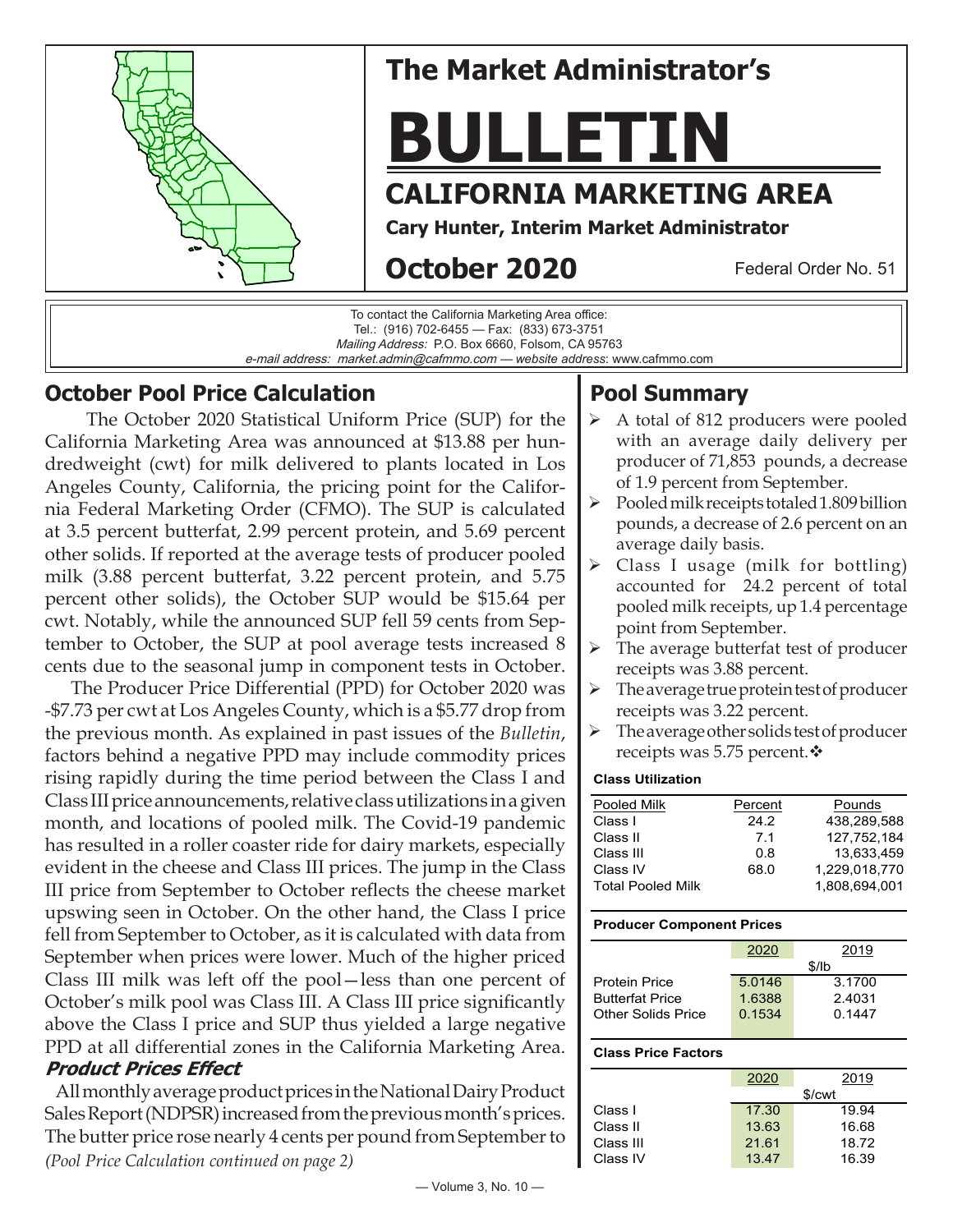

### **October Pool Price Calculation**

 The October 2020 Statistical Uniform Price (SUP) for the California Marketing Area was announced at \$13.88 per hundredweight (cwt) for milk delivered to plants located in Los Angeles County, California, the pricing point for the California Federal Marketing Order (CFMO). The SUP is calculated at 3.5 percent butterfat, 2.99 percent protein, and 5.69 percent other solids. If reported at the average tests of producer pooled milk (3.88 percent butterfat, 3.22 percent protein, and 5.75 percent other solids), the October SUP would be \$15.64 per cwt. Notably, while the announced SUP fell 59 cents from September to October, the SUP at pool average tests increased 8 cents due to the seasonal jump in component tests in October.

 The Producer Price Differential (PPD) for October 2020 was -\$7.73 per cwt at Los Angeles County, which is a \$5.77 drop from the previous month. As explained in past issues of the *Bulletin*, factors behind a negative PPD may include commodity prices rising rapidly during the time period between the Class I and Class III price announcements, relative class utilizations in a given month, and locations of pooled milk. The Covid-19 pandemic has resulted in a roller coaster ride for dairy markets, especially evident in the cheese and Class III prices. The jump in the Class III price from September to October reflects the cheese market upswing seen in October. On the other hand, the Class I price fell from September to October, as it is calculated with data from September when prices were lower. Much of the higher priced Class III milk was left off the pool—less than one percent of October's milk pool was Class III. A Class III price significantly above the Class I price and SUP thus yielded a large negative PPD at all differential zones in the California Marketing Area. **Product Prices Effect**

 All monthly average product prices in the National Dairy Product Sales Report (NDPSR) increased from the previous month's prices. The butter price rose nearly 4 cents per pound from September to *(Pool Price Calculation continued on page 2)*

# **Pool Summary**

- A total of 812 producers were pooled with an average daily delivery per producer of 71,853 pounds, a decrease of 1.9 percent from September.
- $\triangleright$  Pooled milk receipts totaled 1.809 billion pounds, a decrease of 2.6 percent on an average daily basis.
- $\triangleright$  Class I usage (milk for bottling) accounted for 24.2 percent of total pooled milk receipts, up 1.4 percentage point from September.
- $\triangleright$  The average butterfat test of producer receipts was 3.88 percent.
- $\triangleright$  The average true protein test of producer receipts was 3.22 percent.
- $\triangleright$  The average other solids test of producer receipts was 5.75 percent. $\cdot$

#### **Class Utilization**

| Pooled Milk              | Percent | Pounds        |
|--------------------------|---------|---------------|
| Class I                  | 24.2    | 438.289.588   |
| Class II                 | 7.1     | 127.752.184   |
| Class III                | 0.8     | 13.633.459    |
| Class IV                 | 68.0    | 1.229.018.770 |
| <b>Total Pooled Milk</b> |         | 1.808.694.001 |

#### **Producer Component Prices**

|                        | 2020   | 2019   |  |
|------------------------|--------|--------|--|
|                        | \$/lb  |        |  |
| <b>Protein Price</b>   | 5.0146 | 3.1700 |  |
| <b>Butterfat Price</b> | 1.6388 | 2.4031 |  |
| Other Solids Price     | 0.1534 | 0.1447 |  |
|                        |        |        |  |

#### **Class Price Factors**

|           | 2020  | 2019               |
|-----------|-------|--------------------|
|           |       | \$/ <sub>cut</sub> |
| Class I   | 17.30 | 19.94              |
| Class II  | 13.63 | 16.68              |
| Class III | 21.61 | 18.72              |
| Class IV  | 13.47 | 16.39              |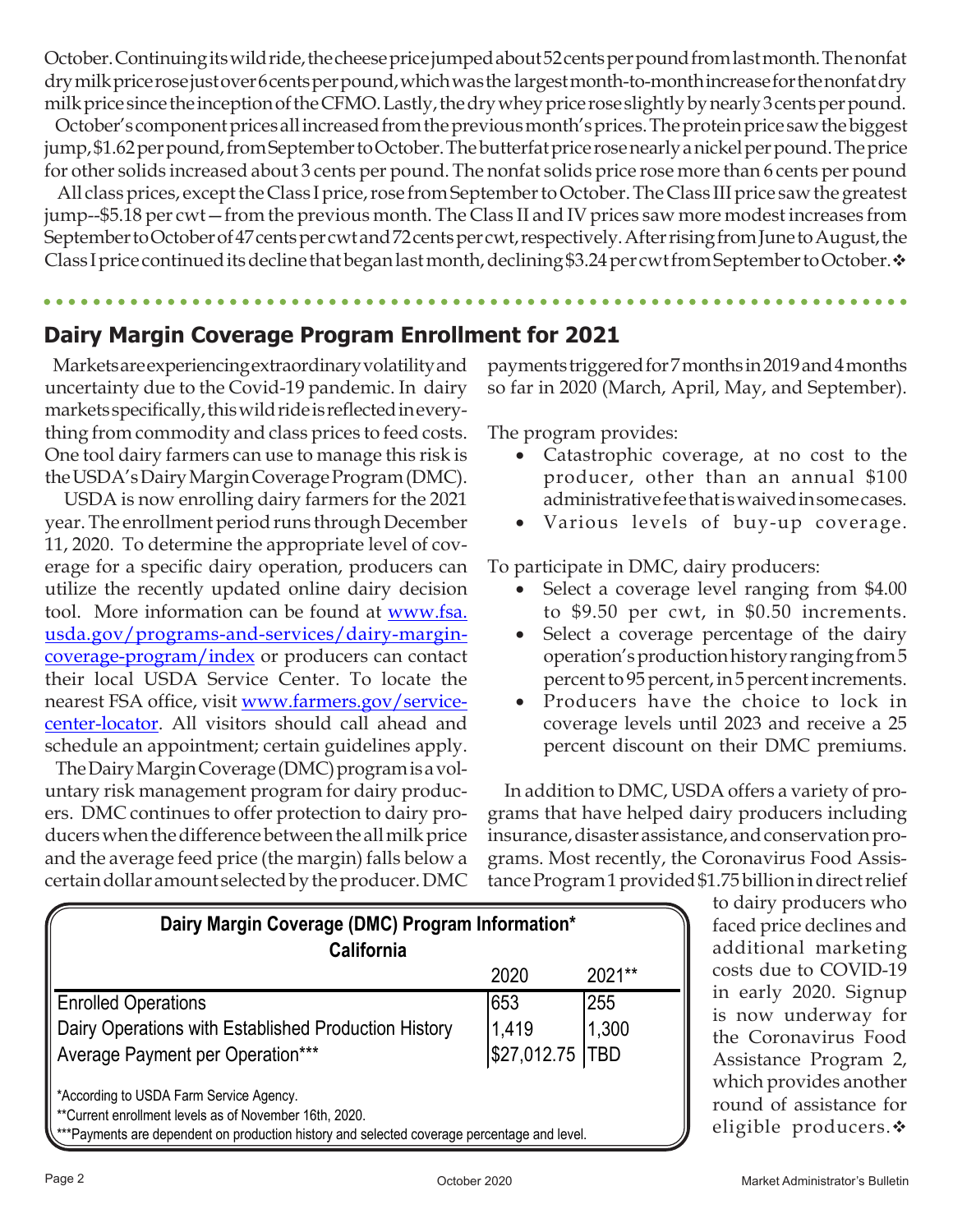October. Continuing its wild ride, the cheese price jumped about 52 cents per pound from last month. The nonfat dry milk price rose just over 6 cents per pound, which was the largest month-to-month increase for the nonfat dry milk price since the inception of the CFMO. Lastly, the dry whey price rose slightly by nearly 3 cents per pound.

 October's component prices all increased from the previous month's prices. The protein price saw the biggest jump, \$1.62 per pound, from September to October. The butterfat price rose nearly a nickel per pound. The price for other solids increased about 3 cents per pound. The nonfat solids price rose more than 6 cents per pound

 All class prices, except the Class I price, rose from September to October. The Class III price saw the greatest jump--\$5.18 per cwt—from the previous month. The Class II and IV prices saw more modest increases from September to October of 47 cents per cwt and 72 cents per cwt, respectively. After rising from June to August, the Class I price continued its decline that began last month, declining \$3.24 per cwt from September to October.  $\cdot\cdot$ 

## **Dairy Margin Coverage Program Enrollment for 2021**

 Markets are experiencing extraordinary volatility and uncertainty due to the Covid-19 pandemic. In dairy markets specifically, this wild ride is reflected in everything from commodity and class prices to feed costs. One tool dairy farmers can use to manage this risk is the USDA's Dairy Margin Coverage Program (DMC).

 USDA is now enrolling dairy farmers for the 2021 year. The enrollment period runs through December 11, 2020. To determine the appropriate level of coverage for a specific dairy operation, producers can utilize the recently updated online dairy decision tool. More information can be found at [www.fsa.](https://www.fsa.usda.gov/programs-and-services/dairy-margin-coverage-program/index) [usda.gov/programs-and-services/dairy-margin](https://www.fsa.usda.gov/programs-and-services/dairy-margin-coverage-program/index)[coverage-program/index](https://www.fsa.usda.gov/programs-and-services/dairy-margin-coverage-program/index) or producers can contact their local USDA Service Center. To locate the nearest FSA office, visit [www.farmers.gov/service](https://www.farmers.gov/service-center-locator)[center-locator.](https://www.farmers.gov/service-center-locator) All visitors should call ahead and schedule an appointment; certain guidelines apply.

 The Dairy Margin Coverage (DMC) program is a voluntary risk management program for dairy producers. DMC continues to offer protection to dairy producers when the difference between the all milk price and the average feed price (the margin) falls below a certain dollar amount selected by the producer. DMC payments triggered for 7 months in 2019 and 4 months so far in 2020 (March, April, May, and September).

The program provides:

- Catastrophic coverage, at no cost to the producer, other than an annual \$100 administrative fee that is waived in some cases.
- Various levels of buy-up coverage.

To participate in DMC, dairy producers:

- Select a coverage level ranging from \$4.00 to \$9.50 per cwt, in \$0.50 increments.
- Select a coverage percentage of the dairy operation's production history ranging from 5 percent to 95 percent, in 5 percent increments.
- • Producers have the choice to lock in coverage levels until 2023 and receive a 25 percent discount on their DMC premiums.

 In addition to DMC, USDA offers a variety of programs that have helped dairy producers including insurance, disaster assistance, and conservation programs. Most recently, the Coronavirus Food Assistance Program 1 provided \$1.75 billion in direct relief

| Dairy Margin Coverage (DMC) Program Information*                                                                                                       |                   |        |  |  |  |
|--------------------------------------------------------------------------------------------------------------------------------------------------------|-------------------|--------|--|--|--|
| <b>California</b>                                                                                                                                      |                   |        |  |  |  |
|                                                                                                                                                        | 2020              | 2021** |  |  |  |
| <b>Enrolled Operations</b>                                                                                                                             | 653               | 255    |  |  |  |
| Dairy Operations with Established Production History                                                                                                   | 1,419             | 1,300  |  |  |  |
| <b>Average Payment per Operation***</b>                                                                                                                | \$27,012.75   TBD |        |  |  |  |
| *According to USDA Farm Service Agency.                                                                                                                |                   |        |  |  |  |
| **Current enrollment levels as of November 16th, 2020.<br>\***Payments are dependent on production history and selected coverage percentage and level. |                   |        |  |  |  |

to dairy producers who faced price declines and additional marketing costs due to COVID-19 in early 2020. Signup is now underway for the Coronavirus Food Assistance Program 2, which provides another round of assistance for eligible producers. $\cdot$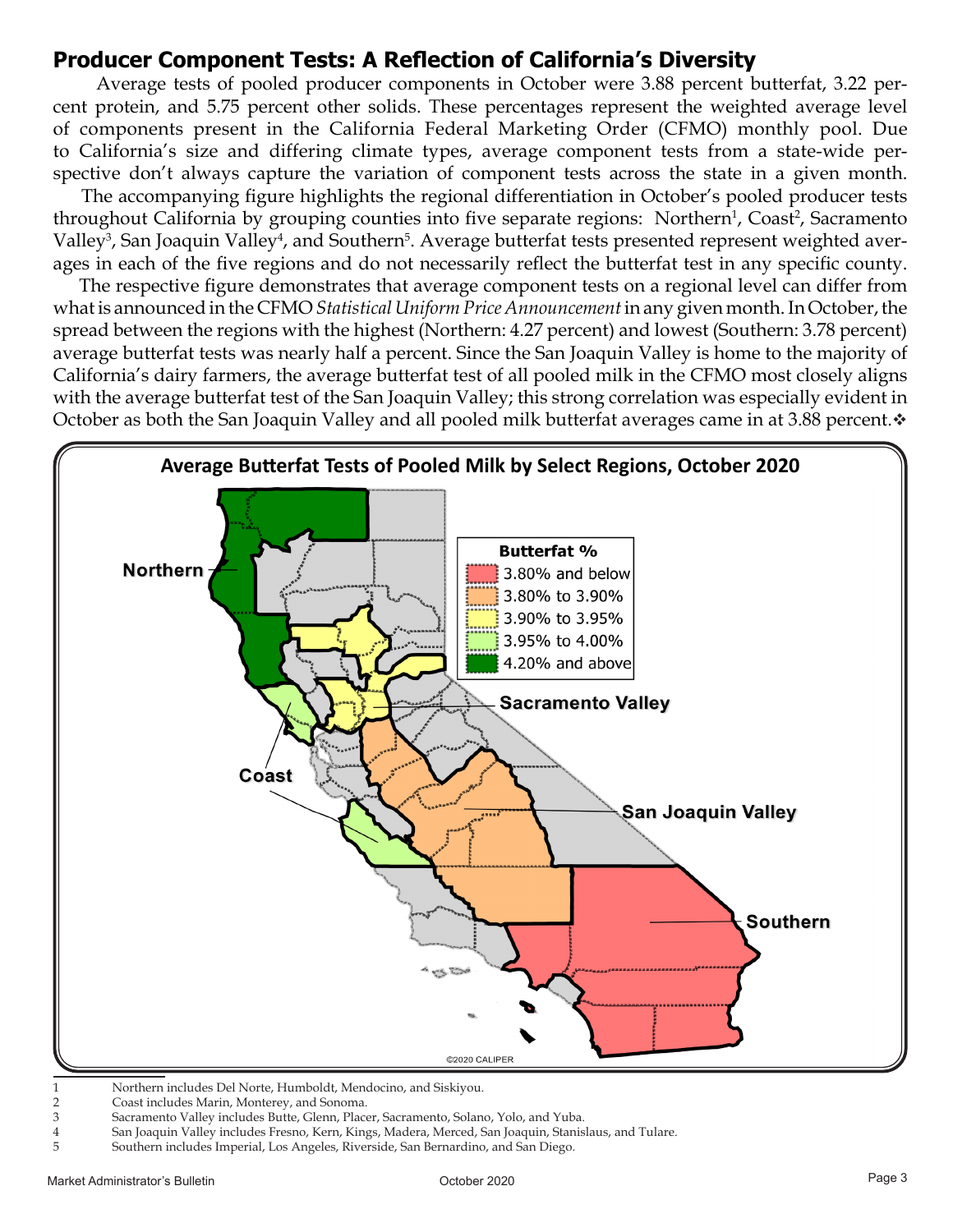### **Producer Component Tests: A Reflection of California's Diversity**

 Average tests of pooled producer components in October were 3.88 percent butterfat, 3.22 percent protein, and 5.75 percent other solids. These percentages represent the weighted average level of components present in the California Federal Marketing Order (CFMO) monthly pool. Due to California's size and differing climate types, average component tests from a state-wide perspective don't always capture the variation of component tests across the state in a given month.

 The accompanying figure highlights the regional differentiation in October's pooled producer tests throughout California by grouping counties into five separate regions: Northern<sup>1</sup>, Coast<sup>2</sup>, Sacramento Valley<sup>3</sup>, San Joaquin Valley<sup>4</sup>, and Southern<sup>5</sup>. Average butterfat tests presented represent weighted averages in each of the five regions and do not necessarily reflect the butterfat test in any specific county.

 The respective figure demonstrates that average component tests on a regional level can differ from what is announced in the CFMO *Statistical Uniform Price Announcement* in any given month. In October, the spread between the regions with the highest (Northern: 4.27 percent) and lowest (Southern: 3.78 percent) average butterfat tests was nearly half a percent. Since the San Joaquin Valley is home to the majority of California's dairy farmers, the average butterfat test of all pooled milk in the CFMO most closely aligns with the average butterfat test of the San Joaquin Valley; this strong correlation was especially evident in October as both the San Joaquin Valley and all pooled milk butterfat averages came in at 3.88 percent. $\cdot$ 



- 1 Northern includes Del Norte, Humboldt, Mendocino, and Siskiyou.
- 2 Coast includes Marin, Monterey, and Sonoma.
- 3 Sacramento Valley includes Butte, Glenn, Placer, Sacramento, Solano, Yolo, and Yuba.
- 4 San Joaquin Valley includes Fresno, Kern, Kings, Madera, Merced, San Joaquin, Stanislaus, and Tulare.
- 5 Southern includes Imperial, Los Angeles, Riverside, San Bernardino, and San Diego.